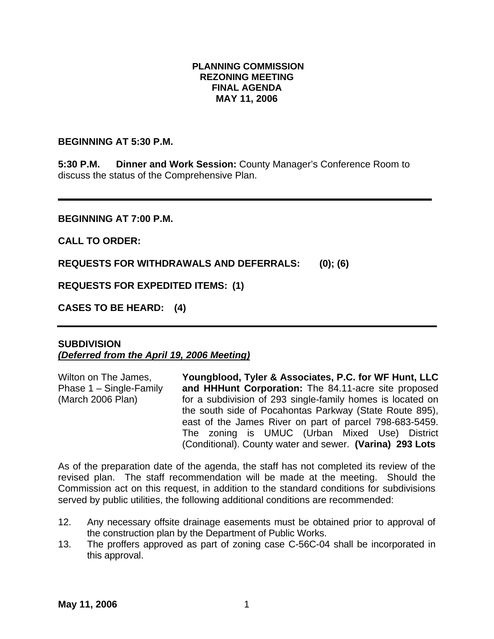#### **PLANNING COMMISSION REZONING MEETING FINAL AGENDA MAY 11, 2006**

#### **BEGINNING AT 5:30 P.M.**

**5:30 P.M. Dinner and Work Session:** County Manager's Conference Room to discuss the status of the Comprehensive Plan.

**BEGINNING AT 7:00 P.M.** 

**CALL TO ORDER:** 

**REQUESTS FOR WITHDRAWALS AND DEFERRALS: (0); (6)** 

**REQUESTS FOR EXPEDITED ITEMS: (1)** 

**CASES TO BE HEARD: (4)** 

### **SUBDIVISION**  *(Deferred from the April 19, 2006 Meeting)*

| Wilton on The James,    | Youngblood, Tyler & Associates, P.C. for WF Hunt, LLC      |
|-------------------------|------------------------------------------------------------|
| Phase 1 – Single-Family | and HHHunt Corporation: The 84.11-acre site proposed       |
| (March 2006 Plan)       | for a subdivision of 293 single-family homes is located on |
|                         | the south side of Pocahontas Parkway (State Route 895),    |
|                         | east of the James River on part of parcel 798-683-5459.    |
|                         | The zoning is UMUC (Urban Mixed Use) District              |
|                         | (Conditional). County water and sewer. (Varina) 293 Lots   |

As of the preparation date of the agenda, the staff has not completed its review of the revised plan. The staff recommendation will be made at the meeting. Should the Commission act on this request, in addition to the standard conditions for subdivisions served by public utilities, the following additional conditions are recommended:

- 12. Any necessary offsite drainage easements must be obtained prior to approval of the construction plan by the Department of Public Works.
- 13. The proffers approved as part of zoning case C-56C-04 shall be incorporated in this approval.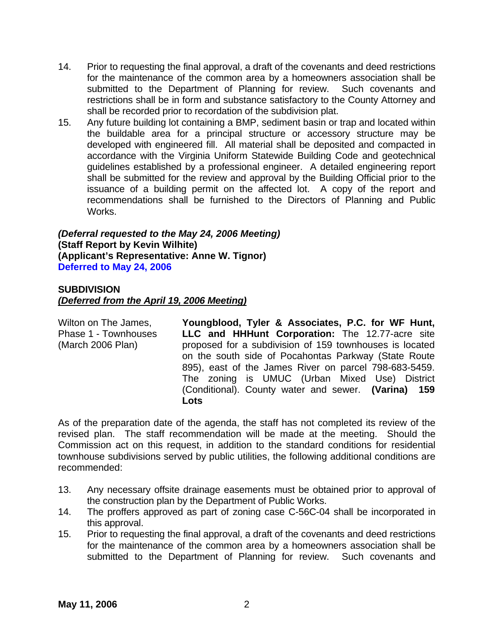- 14. Prior to requesting the final approval, a draft of the covenants and deed restrictions for the maintenance of the common area by a homeowners association shall be submitted to the Department of Planning for review. Such covenants and restrictions shall be in form and substance satisfactory to the County Attorney and shall be recorded prior to recordation of the subdivision plat.
- 15. Any future building lot containing a BMP, sediment basin or trap and located within the buildable area for a principal structure or accessory structure may be developed with engineered fill. All material shall be deposited and compacted in accordance with the Virginia Uniform Statewide Building Code and geotechnical guidelines established by a professional engineer. A detailed engineering report shall be submitted for the review and approval by the Building Official prior to the issuance of a building permit on the affected lot. A copy of the report and recommendations shall be furnished to the Directors of Planning and Public Works.

*(Deferral requested to the May 24, 2006 Meeting)*  **(Staff Report by Kevin Wilhite) (Applicant's Representative: Anne W. Tignor) Deferred to May 24, 2006** 

### **SUBDIVISION**  *(Deferred from the April 19, 2006 Meeting)*

Wilton on The James, Phase 1 - Townhouses (March 2006 Plan) **Youngblood, Tyler & Associates, P.C. for WF Hunt, LLC and HHHunt Corporation:** The 12.77-acre site proposed for a subdivision of 159 townhouses is located on the south side of Pocahontas Parkway (State Route 895), east of the James River on parcel 798-683-5459. The zoning is UMUC (Urban Mixed Use) District (Conditional). County water and sewer. **(Varina) 159 Lots** 

As of the preparation date of the agenda, the staff has not completed its review of the revised plan. The staff recommendation will be made at the meeting. Should the Commission act on this request, in addition to the standard conditions for residential townhouse subdivisions served by public utilities, the following additional conditions are recommended:

- 13. Any necessary offsite drainage easements must be obtained prior to approval of the construction plan by the Department of Public Works.
- 14. The proffers approved as part of zoning case C-56C-04 shall be incorporated in this approval.
- 15. Prior to requesting the final approval, a draft of the covenants and deed restrictions for the maintenance of the common area by a homeowners association shall be submitted to the Department of Planning for review. Such covenants and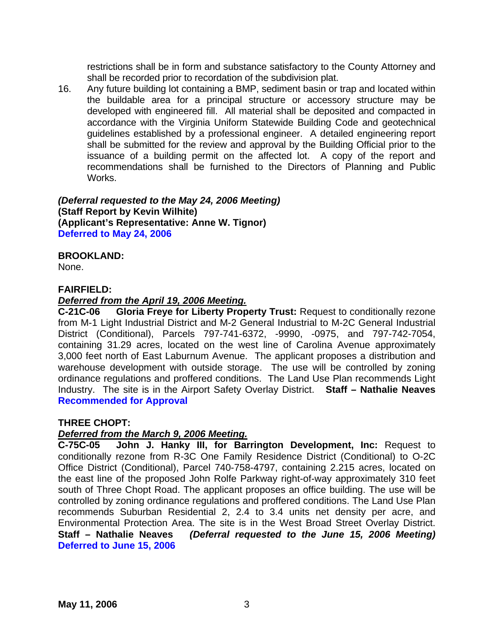restrictions shall be in form and substance satisfactory to the County Attorney and shall be recorded prior to recordation of the subdivision plat.

16. Any future building lot containing a BMP, sediment basin or trap and located within the buildable area for a principal structure or accessory structure may be developed with engineered fill. All material shall be deposited and compacted in accordance with the Virginia Uniform Statewide Building Code and geotechnical guidelines established by a professional engineer. A detailed engineering report shall be submitted for the review and approval by the Building Official prior to the issuance of a building permit on the affected lot. A copy of the report and recommendations shall be furnished to the Directors of Planning and Public Works.

*(Deferral requested to the May 24, 2006 Meeting)*  **(Staff Report by Kevin Wilhite) (Applicant's Representative: Anne W. Tignor) Deferred to May 24, 2006** 

# **BROOKLAND:**

None.

### **FAIRFIELD:**

### *Deferred from the April 19, 2006 Meeting.*

**C-21C-06 Gloria Freye for Liberty Property Trust:** Request to conditionally rezone from M-1 Light Industrial District and M-2 General Industrial to M-2C General Industrial District (Conditional), Parcels 797-741-6372, -9990, -0975, and 797-742-7054, containing 31.29 acres, located on the west line of Carolina Avenue approximately 3,000 feet north of East Laburnum Avenue. The applicant proposes a distribution and warehouse development with outside storage. The use will be controlled by zoning ordinance regulations and proffered conditions. The Land Use Plan recommends Light Industry. The site is in the Airport Safety Overlay District. **Staff – Nathalie Neaves Recommended for Approval** 

### **THREE CHOPT:**

### *Deferred from the March 9, 2006 Meeting.*

**C-75C-05 John J. Hanky III, for Barrington Development, Inc:** Request to conditionally rezone from R-3C One Family Residence District (Conditional) to O-2C Office District (Conditional), Parcel 740-758-4797, containing 2.215 acres, located on the east line of the proposed John Rolfe Parkway right-of-way approximately 310 feet south of Three Chopt Road. The applicant proposes an office building. The use will be controlled by zoning ordinance regulations and proffered conditions. The Land Use Plan recommends Suburban Residential 2, 2.4 to 3.4 units net density per acre, and Environmental Protection Area. The site is in the West Broad Street Overlay District. **Staff – Nathalie Neaves** *(Deferral requested to the June 15, 2006 Meeting)*  **Deferred to June 15, 2006**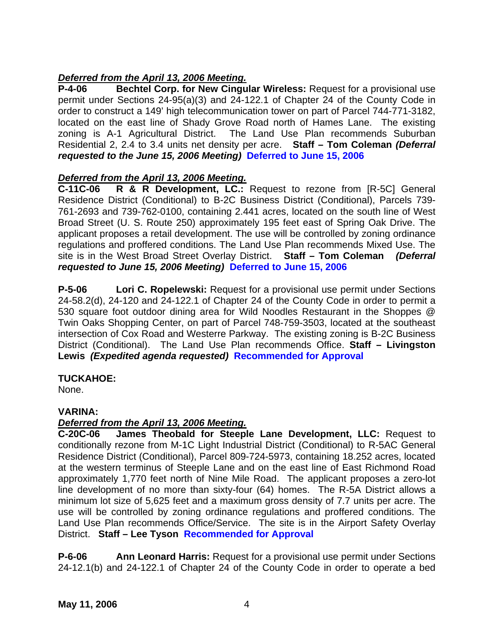# *Deferred from the April 13, 2006 Meeting.*

**P-4-06 Bechtel Corp. for New Cingular Wireless:** Request for a provisional use permit under Sections 24-95(a)(3) and 24-122.1 of Chapter 24 of the County Code in order to construct a 149' high telecommunication tower on part of Parcel 744-771-3182, located on the east line of Shady Grove Road north of Hames Lane. The existing zoning is A-1 Agricultural District. The Land Use Plan recommends Suburban Residential 2, 2.4 to 3.4 units net density per acre. **Staff – Tom Coleman** *(Deferral requested to the June 15, 2006 Meeting)* **Deferred to June 15, 2006** 

### *Deferred from the April 13, 2006 Meeting.*

**C-11C-06 R & R Development, LC.:** Request to rezone from [R-5C] General Residence District (Conditional) to B-2C Business District (Conditional), Parcels 739- 761-2693 and 739-762-0100, containing 2.441 acres, located on the south line of West Broad Street (U. S. Route 250) approximately 195 feet east of Spring Oak Drive. The applicant proposes a retail development. The use will be controlled by zoning ordinance regulations and proffered conditions. The Land Use Plan recommends Mixed Use. The site is in the West Broad Street Overlay District. **Staff – Tom Coleman** *(Deferral requested to June 15, 2006 Meeting)* **Deferred to June 15, 2006** 

**P-5-06 Lori C. Ropelewski:** Request for a provisional use permit under Sections 24-58.2(d), 24-120 and 24-122.1 of Chapter 24 of the County Code in order to permit a 530 square foot outdoor dining area for Wild Noodles Restaurant in the Shoppes @ Twin Oaks Shopping Center, on part of Parcel 748-759-3503, located at the southeast intersection of Cox Road and Westerre Parkway. The existing zoning is B-2C Business District (Conditional). The Land Use Plan recommends Office. **Staff – Livingston Lewis** *(Expedited agenda requested)* **Recommended for Approval**

### **TUCKAHOE:**

None.

## **VARINA:**

### *Deferred from the April 13, 2006 Meeting.*

**C-20C-06 James Theobald for Steeple Lane Development, LLC:** Request to conditionally rezone from M-1C Light Industrial District (Conditional) to R-5AC General Residence District (Conditional), Parcel 809-724-5973, containing 18.252 acres, located at the western terminus of Steeple Lane and on the east line of East Richmond Road approximately 1,770 feet north of Nine Mile Road. The applicant proposes a zero-lot line development of no more than sixty-four (64) homes. The R-5A District allows a minimum lot size of 5,625 feet and a maximum gross density of 7.7 units per acre. The use will be controlled by zoning ordinance regulations and proffered conditions. The Land Use Plan recommends Office/Service. The site is in the Airport Safety Overlay District. **Staff – Lee Tyson Recommended for Approval** 

**P-6-06 Ann Leonard Harris:** Request for a provisional use permit under Sections 24-12.1(b) and 24-122.1 of Chapter 24 of the County Code in order to operate a bed